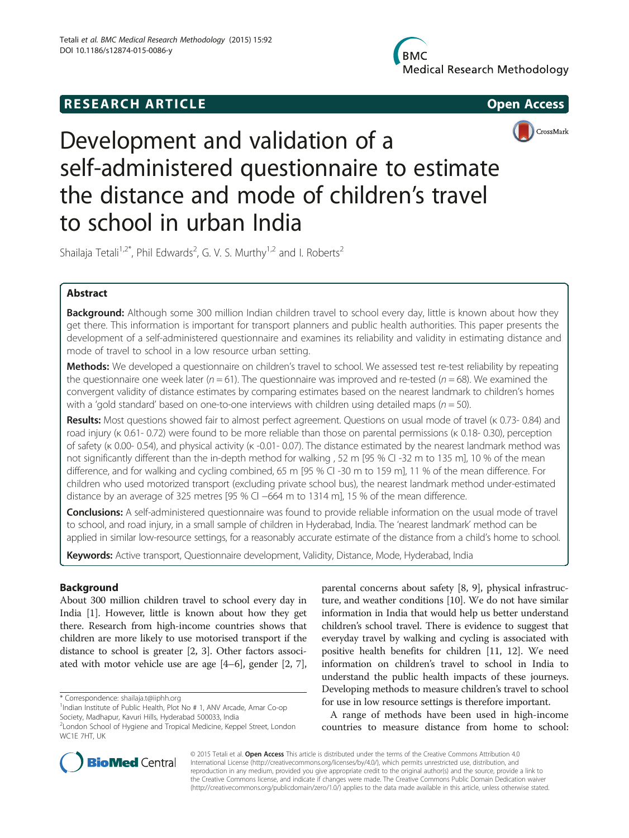# **RESEARCH ARTICLE Example 2014 The SEAR CH ACCESS**





# Development and validation of a self-administered questionnaire to estimate the distance and mode of children's travel to school in urban India

Shailaja Tetali<sup>1,2\*</sup>, Phil Edwards<sup>2</sup>, G. V. S. Murthy<sup>1,2</sup> and I. Roberts<sup>2</sup>

# Abstract

**Background:** Although some 300 million Indian children travel to school every day, little is known about how they get there. This information is important for transport planners and public health authorities. This paper presents the development of a self-administered questionnaire and examines its reliability and validity in estimating distance and mode of travel to school in a low resource urban setting.

Methods: We developed a questionnaire on children's travel to school. We assessed test re-test reliability by repeating the questionnaire one week later ( $n = 61$ ). The questionnaire was improved and re-tested ( $n = 68$ ). We examined the convergent validity of distance estimates by comparing estimates based on the nearest landmark to children's homes with a 'gold standard' based on one-to-one interviews with children using detailed maps ( $n = 50$ ).

Results: Most questions showed fair to almost perfect agreement. Questions on usual mode of travel (κ 0.73-0.84) and road injury (κ 0.61- 0.72) were found to be more reliable than those on parental permissions (κ 0.18- 0.30), perception of safety (κ 0.00- 0.54), and physical activity (κ -0.01- 0.07). The distance estimated by the nearest landmark method was not significantly different than the in-depth method for walking , 52 m [95 % CI -32 m to 135 m], 10 % of the mean difference, and for walking and cycling combined, 65 m [95 % CI -30 m to 159 m], 11 % of the mean difference. For children who used motorized transport (excluding private school bus), the nearest landmark method under-estimated distance by an average of 325 metres [95 % CI −664 m to 1314 m], 15 % of the mean difference.

**Conclusions:** A self-administered questionnaire was found to provide reliable information on the usual mode of travel to school, and road injury, in a small sample of children in Hyderabad, India. The 'nearest landmark' method can be applied in similar low-resource settings, for a reasonably accurate estimate of the distance from a child's home to school.

Keywords: Active transport, Questionnaire development, Validity, Distance, Mode, Hyderabad, India

# Background

About 300 million children travel to school every day in India [\[1\]](#page-5-0). However, little is known about how they get there. Research from high-income countries shows that children are more likely to use motorised transport if the distance to school is greater [\[2, 3\]](#page-5-0). Other factors associated with motor vehicle use are age [\[4](#page-5-0)–[6](#page-5-0)], gender [[2, 7](#page-5-0)],

\* Correspondence: [shailaja.t@iiphh.org](mailto:shailaja.t@iiphh.org) <sup>1</sup>

parental concerns about safety [[8](#page-5-0), [9](#page-5-0)], physical infrastructure, and weather conditions [\[10\]](#page-5-0). We do not have similar information in India that would help us better understand children's school travel. There is evidence to suggest that everyday travel by walking and cycling is associated with positive health benefits for children [[11](#page-5-0), [12\]](#page-5-0). We need information on children's travel to school in India to understand the public health impacts of these journeys. Developing methods to measure children's travel to school for use in low resource settings is therefore important.

A range of methods have been used in high-income countries to measure distance from home to school:





<sup>&</sup>lt;sup>1</sup>Indian Institute of Public Health, Plot No # 1, ANV Arcade, Amar Co-op Society, Madhapur, Kavuri Hills, Hyderabad 500033, India

<sup>2</sup> London School of Hygiene and Tropical Medicine, Keppel Street, London WC1E 7HT, UK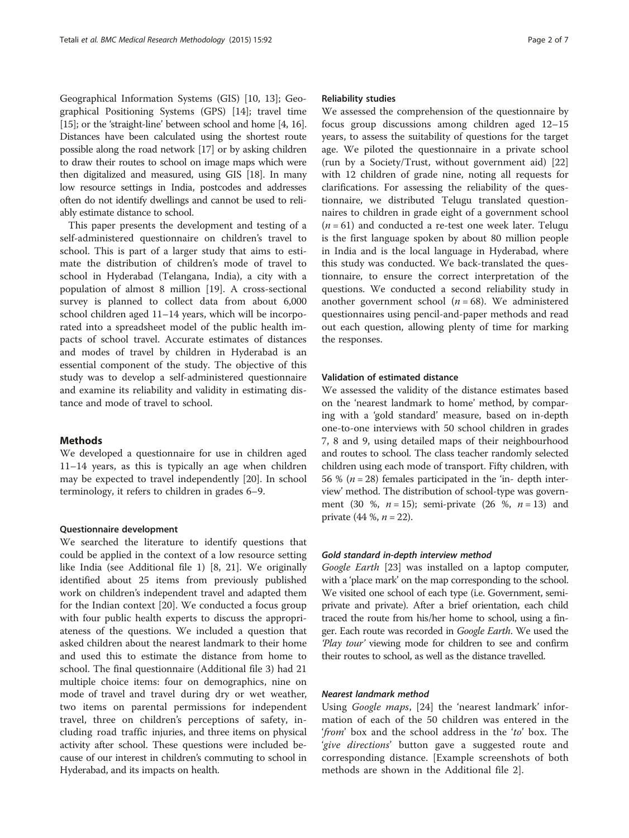Geographical Information Systems (GIS) [[10](#page-5-0), [13\]](#page-5-0); Geographical Positioning Systems (GPS) [[14\]](#page-5-0); travel time [[15](#page-5-0)]; or the 'straight-line' between school and home [\[4](#page-5-0), [16](#page-5-0)]. Distances have been calculated using the shortest route possible along the road network [[17](#page-5-0)] or by asking children to draw their routes to school on image maps which were then digitalized and measured, using GIS [\[18\]](#page-5-0). In many low resource settings in India, postcodes and addresses often do not identify dwellings and cannot be used to reliably estimate distance to school.

This paper presents the development and testing of a self-administered questionnaire on children's travel to school. This is part of a larger study that aims to estimate the distribution of children's mode of travel to school in Hyderabad (Telangana, India), a city with a population of almost 8 million [\[19\]](#page-5-0). A cross-sectional survey is planned to collect data from about 6,000 school children aged 11–14 years, which will be incorporated into a spreadsheet model of the public health impacts of school travel. Accurate estimates of distances and modes of travel by children in Hyderabad is an essential component of the study. The objective of this study was to develop a self-administered questionnaire and examine its reliability and validity in estimating distance and mode of travel to school.

# Methods

We developed a questionnaire for use in children aged 11–14 years, as this is typically an age when children may be expected to travel independently [\[20\]](#page-5-0). In school terminology, it refers to children in grades 6–9.

# Questionnaire development

We searched the literature to identify questions that could be applied in the context of a low resource setting like India (see Additional file [1](#page-5-0)) [\[8](#page-5-0), [21\]](#page-5-0). We originally identified about 25 items from previously published work on children's independent travel and adapted them for the Indian context [\[20](#page-5-0)]. We conducted a focus group with four public health experts to discuss the appropriateness of the questions. We included a question that asked children about the nearest landmark to their home and used this to estimate the distance from home to school. The final questionnaire (Additional file [3](#page-5-0)) had 21 multiple choice items: four on demographics, nine on mode of travel and travel during dry or wet weather, two items on parental permissions for independent travel, three on children's perceptions of safety, including road traffic injuries, and three items on physical activity after school. These questions were included because of our interest in children's commuting to school in Hyderabad, and its impacts on health.

# Reliability studies

We assessed the comprehension of the questionnaire by focus group discussions among children aged 12–15 years, to assess the suitability of questions for the target age. We piloted the questionnaire in a private school (run by a Society/Trust, without government aid) [[22](#page-5-0)] with 12 children of grade nine, noting all requests for clarifications. For assessing the reliability of the questionnaire, we distributed Telugu translated questionnaires to children in grade eight of a government school  $(n = 61)$  and conducted a re-test one week later. Telugu is the first language spoken by about 80 million people in India and is the local language in Hyderabad, where this study was conducted. We back-translated the questionnaire, to ensure the correct interpretation of the questions. We conducted a second reliability study in another government school  $(n = 68)$ . We administered questionnaires using pencil-and-paper methods and read out each question, allowing plenty of time for marking the responses.

# Validation of estimated distance

We assessed the validity of the distance estimates based on the 'nearest landmark to home' method, by comparing with a 'gold standard' measure, based on in-depth one-to-one interviews with 50 school children in grades 7, 8 and 9, using detailed maps of their neighbourhood and routes to school. The class teacher randomly selected children using each mode of transport. Fifty children, with 56 % ( $n = 28$ ) females participated in the 'in- depth interview' method. The distribution of school-type was government (30 %,  $n = 15$ ); semi-private (26 %,  $n = 13$ ) and private  $(44 %, n = 22)$ .

# Gold standard in-depth interview method

Google Earth [\[23](#page-6-0)] was installed on a laptop computer, with a 'place mark' on the map corresponding to the school. We visited one school of each type (i.e. Government, semiprivate and private). After a brief orientation, each child traced the route from his/her home to school, using a finger. Each route was recorded in *Google Earth*. We used the 'Play tour' viewing mode for children to see and confirm their routes to school, as well as the distance travelled.

# Nearest landmark method

Using Google maps, [[24\]](#page-6-0) the 'nearest landmark' information of each of the 50 children was entered in the 'from' box and the school address in the 'to' box. The 'give directions' button gave a suggested route and corresponding distance. [Example screenshots of both methods are shown in the Additional file [2\]](#page-5-0).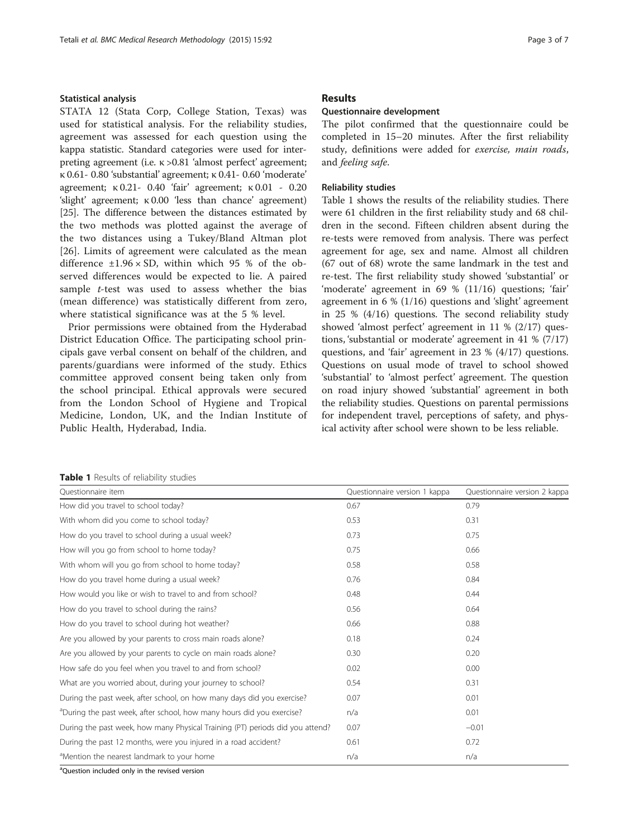# Statistical analysis

STATA 12 (Stata Corp, College Station, Texas) was used for statistical analysis. For the reliability studies, agreement was assessed for each question using the kappa statistic. Standard categories were used for interpreting agreement (i.e. κ >0.81 'almost perfect' agreement; κ 0.61- 0.80 'substantial' agreement; κ 0.41- 0.60 'moderate' agreement; κ 0.21- 0.40 'fair' agreement; κ 0.01 - 0.20 'slight' agreement; κ 0.00 'less than chance' agreement) [[25](#page-6-0)]. The difference between the distances estimated by the two methods was plotted against the average of the two distances using a Tukey/Bland Altman plot [[26\]](#page-6-0). Limits of agreement were calculated as the mean difference  $\pm 1.96 \times SD$ , within which 95 % of the observed differences would be expected to lie. A paired sample *t*-test was used to assess whether the bias (mean difference) was statistically different from zero, where statistical significance was at the 5 % level.

Prior permissions were obtained from the Hyderabad District Education Office. The participating school principals gave verbal consent on behalf of the children, and parents/guardians were informed of the study. Ethics committee approved consent being taken only from the school principal. Ethical approvals were secured from the London School of Hygiene and Tropical Medicine, London, UK, and the Indian Institute of Public Health, Hyderabad, India.

# Results

# Questionnaire development

The pilot confirmed that the questionnaire could be completed in 15–20 minutes. After the first reliability study, definitions were added for exercise, main roads, and feeling safe.

# Reliability studies

Table 1 shows the results of the reliability studies. There were 61 children in the first reliability study and 68 children in the second. Fifteen children absent during the re-tests were removed from analysis. There was perfect agreement for age, sex and name. Almost all children (67 out of 68) wrote the same landmark in the test and re-test. The first reliability study showed 'substantial' or 'moderate' agreement in 69 % (11/16) questions; 'fair' agreement in 6 % (1/16) questions and 'slight' agreement in 25 % (4/16) questions. The second reliability study showed 'almost perfect' agreement in 11 % (2/17) questions, 'substantial or moderate' agreement in 41 % (7/17) questions, and 'fair' agreement in 23 % (4/17) questions. Questions on usual mode of travel to school showed 'substantial' to 'almost perfect' agreement. The question on road injury showed 'substantial' agreement in both the reliability studies. Questions on parental permissions for independent travel, perceptions of safety, and physical activity after school were shown to be less reliable.

# Table 1 Results of reliability studies

| Questionnaire item                                                                | Questionnaire version 1 kappa | Questionnaire version 2 kappa |
|-----------------------------------------------------------------------------------|-------------------------------|-------------------------------|
| How did you travel to school today?                                               | 0.67                          | 0.79                          |
| With whom did you come to school today?                                           | 0.53                          | 0.31                          |
| How do you travel to school during a usual week?                                  | 0.73                          | 0.75                          |
| How will you go from school to home today?                                        | 0.75                          | 0.66                          |
| With whom will you go from school to home today?                                  | 0.58                          | 0.58                          |
| How do you travel home during a usual week?                                       | 0.76                          | 0.84                          |
| How would you like or wish to travel to and from school?                          | 0.48                          | 0.44                          |
| How do you travel to school during the rains?                                     | 0.56                          | 0.64                          |
| How do you travel to school during hot weather?                                   | 0.66                          | 0.88                          |
| Are you allowed by your parents to cross main roads alone?                        | 0.18                          | 0.24                          |
| Are you allowed by your parents to cycle on main roads alone?                     | 0.30                          | 0.20                          |
| How safe do you feel when you travel to and from school?                          | 0.02                          | 0.00                          |
| What are you worried about, during your journey to school?                        | 0.54                          | 0.31                          |
| During the past week, after school, on how many days did you exercise?            | 0.07                          | 0.01                          |
| <sup>a</sup> During the past week, after school, how many hours did you exercise? | n/a                           | 0.01                          |
| During the past week, how many Physical Training (PT) periods did you attend?     | 0.07                          | $-0.01$                       |
| During the past 12 months, were you injured in a road accident?                   | 0.61                          | 0.72                          |
| <sup>a</sup> Mention the nearest landmark to your home                            | n/a                           | n/a                           |

<sup>a</sup>Question included only in the revised version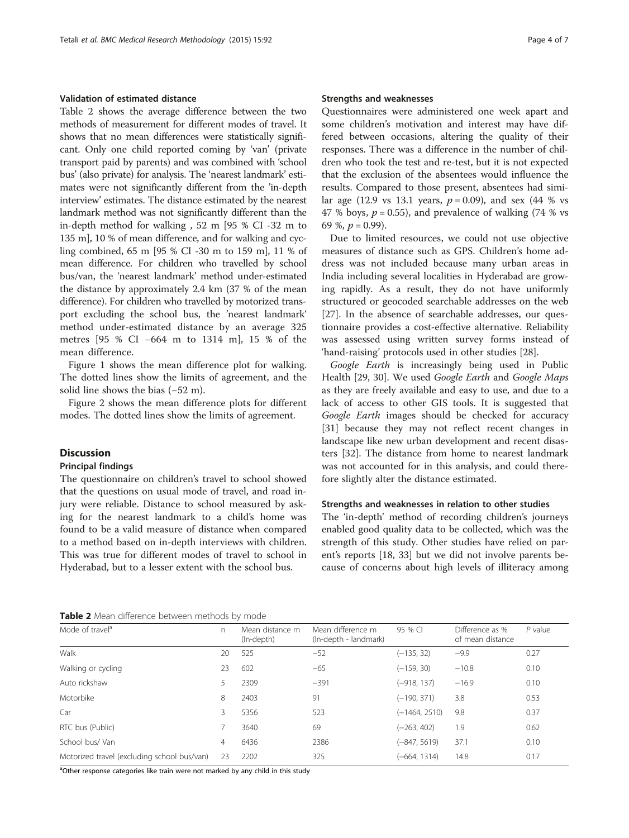# Validation of estimated distance

Table 2 shows the average difference between the two methods of measurement for different modes of travel. It shows that no mean differences were statistically significant. Only one child reported coming by 'van' (private transport paid by parents) and was combined with 'school bus' (also private) for analysis. The 'nearest landmark' estimates were not significantly different from the 'in-depth interview' estimates. The distance estimated by the nearest landmark method was not significantly different than the in-depth method for walking , 52 m [95 % CI -32 m to 135 m], 10 % of mean difference, and for walking and cycling combined, 65 m [95 % CI -30 m to 159 m], 11 % of mean difference. For children who travelled by school bus/van, the 'nearest landmark' method under-estimated the distance by approximately 2.4 km (37 % of the mean difference). For children who travelled by motorized transport excluding the school bus, the 'nearest landmark' method under-estimated distance by an average 325 metres [95 % CI −664 m to 1314 m], 15 % of the mean difference.

Figure [1](#page-4-0) shows the mean difference plot for walking. The dotted lines show the limits of agreement, and the solid line shows the bias (−52 m).

Figure [2](#page-4-0) shows the mean difference plots for different modes. The dotted lines show the limits of agreement.

# **Discussion**

# Principal findings

The questionnaire on children's travel to school showed that the questions on usual mode of travel, and road injury were reliable. Distance to school measured by asking for the nearest landmark to a child's home was found to be a valid measure of distance when compared to a method based on in-depth interviews with children. This was true for different modes of travel to school in Hyderabad, but to a lesser extent with the school bus.

# Strengths and weaknesses

Questionnaires were administered one week apart and some children's motivation and interest may have differed between occasions, altering the quality of their responses. There was a difference in the number of children who took the test and re-test, but it is not expected that the exclusion of the absentees would influence the results. Compared to those present, absentees had similar age (12.9 vs 13.1 years,  $p = 0.09$ ), and sex (44 % vs 47 % boys,  $p = 0.55$ ), and prevalence of walking (74 % vs 69 %,  $p = 0.99$ ).

Due to limited resources, we could not use objective measures of distance such as GPS. Children's home address was not included because many urban areas in India including several localities in Hyderabad are growing rapidly. As a result, they do not have uniformly structured or geocoded searchable addresses on the web [[27\]](#page-6-0). In the absence of searchable addresses, our questionnaire provides a cost-effective alternative. Reliability was assessed using written survey forms instead of 'hand-raising' protocols used in other studies [\[28](#page-6-0)].

Google Earth is increasingly being used in Public Health [\[29](#page-6-0), [30](#page-6-0)]. We used Google Earth and Google Maps as they are freely available and easy to use, and due to a lack of access to other GIS tools. It is suggested that Google Earth images should be checked for accuracy [[31\]](#page-6-0) because they may not reflect recent changes in landscape like new urban development and recent disasters [[32\]](#page-6-0). The distance from home to nearest landmark was not accounted for in this analysis, and could therefore slightly alter the distance estimated.

# Strengths and weaknesses in relation to other studies

The 'in-depth' method of recording children's journeys enabled good quality data to be collected, which was the strength of this study. Other studies have relied on parent's reports [\[18,](#page-5-0) [33](#page-6-0)] but we did not involve parents because of concerns about high levels of illiteracy among

|  |  |  | Table 2 Mean difference between methods by mode |  |  |  |
|--|--|--|-------------------------------------------------|--|--|--|
|--|--|--|-------------------------------------------------|--|--|--|

| Mean difference m<br>95 % CL<br>Difference as %<br>$P$ value<br>(In-depth - landmark)<br>of mean distance |
|-----------------------------------------------------------------------------------------------------------|
| 0.27<br>$(-135, 32)$<br>$-52$<br>$-9.9$                                                                   |
| $(-159, 30)$<br>$-10.8$<br>0.10<br>$-65$                                                                  |
| $-391$<br>$(-918, 137)$<br>0.10<br>$-16.9$                                                                |
| $(-190, 371)$<br>3.8<br>0.53                                                                              |
| 0.37<br>523<br>9.8<br>$(-1464, 2510)$                                                                     |
| $(-263, 402)$<br>1.9<br>0.62                                                                              |
| 37.1<br>2386<br>0.10<br>$(-847, 5619)$                                                                    |
| 0.17<br>325<br>$(-664, 1314)$<br>14.8                                                                     |
|                                                                                                           |

<sup>a</sup>Other response categories like train were not marked by any child in this study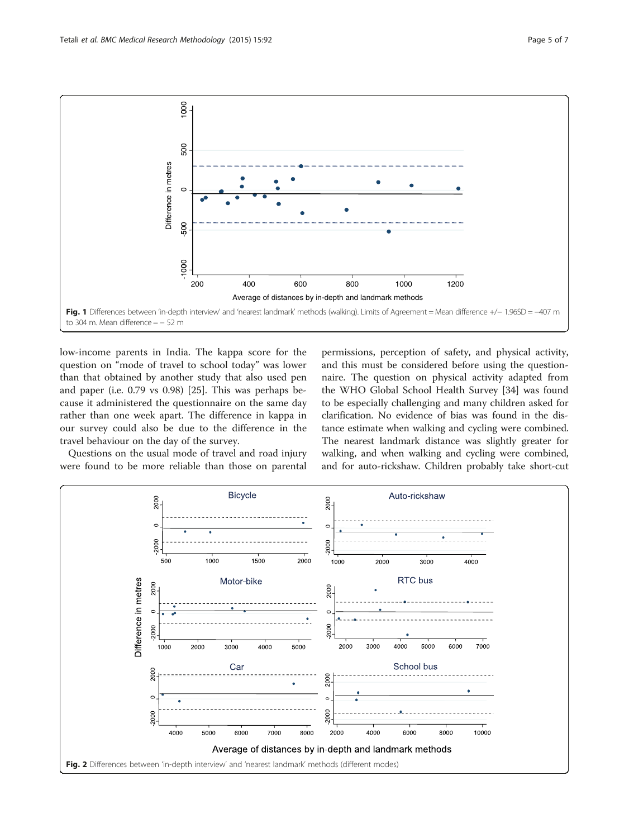<span id="page-4-0"></span>

low-income parents in India. The kappa score for the question on "mode of travel to school today" was lower than that obtained by another study that also used pen and paper (i.e. 0.79 vs 0.98) [\[25](#page-6-0)]. This was perhaps because it administered the questionnaire on the same day rather than one week apart. The difference in kappa in our survey could also be due to the difference in the travel behaviour on the day of the survey.

Questions on the usual mode of travel and road injury were found to be more reliable than those on parental

permissions, perception of safety, and physical activity, and this must be considered before using the questionnaire. The question on physical activity adapted from the WHO Global School Health Survey [[34\]](#page-6-0) was found to be especially challenging and many children asked for clarification. No evidence of bias was found in the distance estimate when walking and cycling were combined. The nearest landmark distance was slightly greater for walking, and when walking and cycling were combined, and for auto-rickshaw. Children probably take short-cut

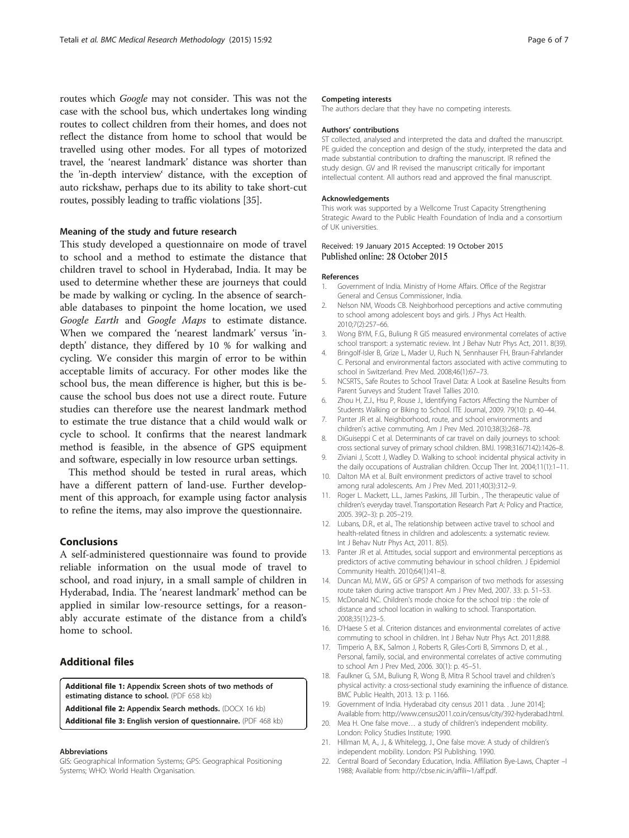<span id="page-5-0"></span>routes which Google may not consider. This was not the case with the school bus, which undertakes long winding routes to collect children from their homes, and does not reflect the distance from home to school that would be travelled using other modes. For all types of motorized travel, the 'nearest landmark' distance was shorter than the 'in-depth interview' distance, with the exception of auto rickshaw, perhaps due to its ability to take short-cut routes, possibly leading to traffic violations [\[35\]](#page-6-0).

# Meaning of the study and future research

This study developed a questionnaire on mode of travel to school and a method to estimate the distance that children travel to school in Hyderabad, India. It may be used to determine whether these are journeys that could be made by walking or cycling. In the absence of searchable databases to pinpoint the home location, we used Google Earth and Google Maps to estimate distance. When we compared the 'nearest landmark' versus 'indepth' distance, they differed by 10 % for walking and cycling. We consider this margin of error to be within acceptable limits of accuracy. For other modes like the school bus, the mean difference is higher, but this is because the school bus does not use a direct route. Future studies can therefore use the nearest landmark method to estimate the true distance that a child would walk or cycle to school. It confirms that the nearest landmark method is feasible, in the absence of GPS equipment and software, especially in low resource urban settings.

This method should be tested in rural areas, which have a different pattern of land-use. Further development of this approach, for example using factor analysis to refine the items, may also improve the questionnaire.

# Conclusions

A self-administered questionnaire was found to provide reliable information on the usual mode of travel to school, and road injury, in a small sample of children in Hyderabad, India. The 'nearest landmark' method can be applied in similar low-resource settings, for a reasonably accurate estimate of the distance from a child's home to school.

# Additional files

[Additional file 1:](dx.doi.org/10.1186/s12874-015-0086-y) Appendix Screen shots of two methods of estimating distance to school. (PDF 658 kb)

[Additional file 2:](dx.doi.org/10.1186/s12874-015-0086-y) Appendix Search methods. (DOCX 16 kb)

[Additional file 3:](dx.doi.org/10.1186/s12874-015-0086-y) English version of questionnaire. (PDF 468 kb)

# Abbreviations

GIS: Geographical Information Systems; GPS: Geographical Positioning Systems; WHO: World Health Organisation.

# Competing interests

The authors declare that they have no competing interests.

### Authors' contributions

ST collected, analysed and interpreted the data and drafted the manuscript. PE guided the conception and design of the study, interpreted the data and made substantial contribution to drafting the manuscript. IR refined the study design. GV and IR revised the manuscript critically for important intellectual content. All authors read and approved the final manuscript.

#### Acknowledgements

This work was supported by a Wellcome Trust Capacity Strengthening Strategic Award to the Public Health Foundation of India and a consortium of UK universities.

# Received: 19 January 2015 Accepted: 19 October 2015 Published online: 28 October 2015

#### References

- 1. Government of India. Ministry of Home Affairs. Office of the Registrar General and Census Commissioner, India.
- 2. Nelson NM, Woods CB. Neighborhood perceptions and active commuting to school among adolescent boys and girls. J Phys Act Health. 2010;7(2):257–66.
- 3. Wong BYM, F.G., Buliung R GIS measured environmental correlates of active school transport: a systematic review. Int J Behav Nutr Phys Act, 2011. 8(39).
- 4. Bringolf-Isler B, Grize L, Mader U, Ruch N, Sennhauser FH, Braun-Fahrlander C. Personal and environmental factors associated with active commuting to school in Switzerland. Prev Med. 2008;46(1):67–73.
- 5. NCSRTS., Safe Routes to School Travel Data: A Look at Baseline Results from Parent Surveys and Student Travel Tallies 2010.
- 6. Zhou H, Z.J., Hsu P, Rouse J., Identifying Factors Affecting the Number of Students Walking or Biking to School. ITE Journal, 2009. 79(10): p. 40–44.
- 7. Panter JR et al. Neighborhood, route, and school environments and children's active commuting. Am J Prev Med. 2010;38(3):268–78.
- 8. DiGuiseppi C et al. Determinants of car travel on daily journeys to school: cross sectional survey of primary school children. BMJ. 1998;316(7142):1426–8.
- 9. Ziviani J, Scott J, Wadley D. Walking to school: incidental physical activity in the daily occupations of Australian children. Occup Ther Int. 2004;11(1):1–11.
- 10. Dalton MA et al. Built environment predictors of active travel to school among rural adolescents. Am J Prev Med. 2011;40(3):312–9.
- 11. Roger L. Mackett, L.L., James Paskins, Jill Turbin. , The therapeutic value of children's everyday travel. Transportation Research Part A: Policy and Practice, 2005. 39(2–3): p. 205–219.
- 12. Lubans, D.R., et al., The relationship between active travel to school and health-related fitness in children and adolescents: a systematic review. Int J Behav Nutr Phys Act, 2011. 8(5).
- 13. Panter JR et al. Attitudes, social support and environmental perceptions as predictors of active commuting behaviour in school children. J Epidemiol Community Health. 2010;64(1):41–8.
- 14. Duncan MJ, M.W., GIS or GPS? A comparison of two methods for assessing route taken during active transport Am J Prev Med, 2007. 33: p. 51–53.
- 15. McDonald NC. Children's mode choice for the school trip : the role of distance and school location in walking to school. Transportation. 2008;35(1):23–5.
- 16. D'Haese S et al. Criterion distances and environmental correlates of active commuting to school in children. Int J Behav Nutr Phys Act. 2011;8:88.
- 17. Timperio A, B.K., Salmon J, Roberts R, Giles-Corti B, Simmons D, et al. , Personal, family, social, and environmental correlates of active commuting to school Am J Prev Med, 2006. 30(1): p. 45–51.
- 18. Faulkner G, S.M., Buliung R, Wong B, Mitra R School travel and children's physical activity: a cross-sectional study examining the influence of distance. BMC Public Health, 2013. 13: p. 1166.
- 19. Government of India. Hyderabad city census 2011 data. . June 2014]; Available from: [http://www.census2011.co.in/census/city/392-hyderabad.html.](http://www.census2011.co.in/census/city/392-hyderabad.html)
- 20. Mea H. One false move… a study of children's independent mobility. London: Policy Studies Institute; 1990.
- 21. Hillman M, A., J., & Whitelegg, J., One false move: A study of children's independent mobility. London: PSI Publishing. 1990.
- 22. Central Board of Secondary Education, India. Affiliation Bye-Laws, Chapter –I 1988; Available from: [http://cbse.nic.in/affili~1/aff.pdf.](http://cbse.nic.in/affili~1/aff.pdf)